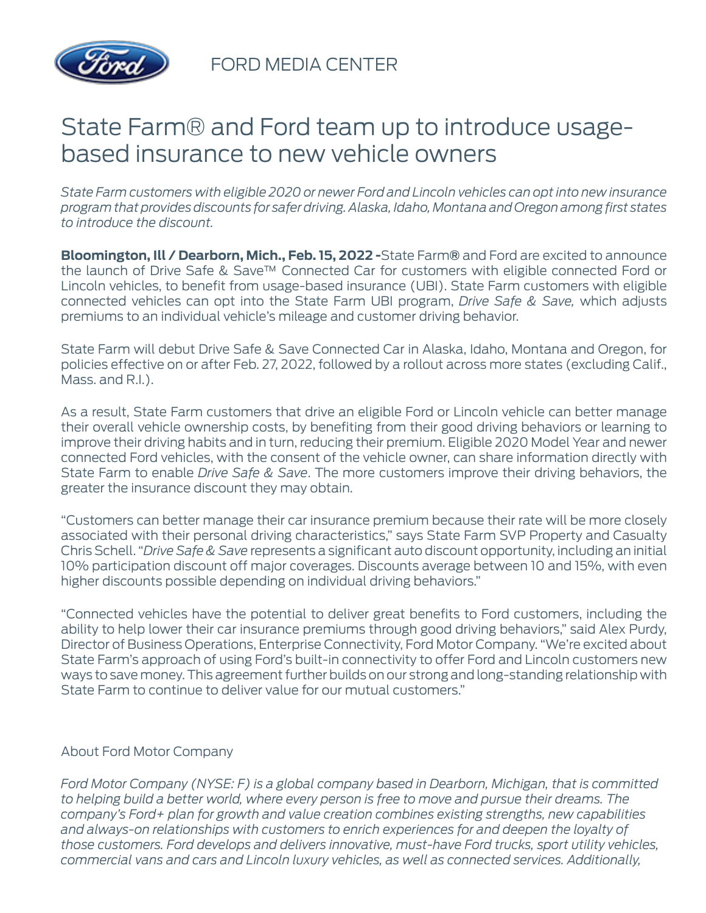

FORD MEDIA CENTER

## State Farm® and Ford team up to introduce usagebased insurance to new vehicle owners

*State Farm customers with eligible 2020 or newer Ford and Lincoln vehicles can opt into new insurance program that provides discounts for safer driving. Alaska, Idaho, Montana and Oregon among first states to introduce the discount.*

**Bloomington, Ill / Dearborn, Mich., Feb. 15, 2022 -**State Farm**®** and Ford are excited to announce the launch of Drive Safe & Save™ Connected Car for customers with eligible connected Ford or Lincoln vehicles, to benefit from usage-based insurance (UBI). State Farm customers with eligible connected vehicles can opt into the State Farm UBI program, *Drive Safe & Save,* which adjusts premiums to an individual vehicle's mileage and customer driving behavior.

State Farm will debut Drive Safe & Save Connected Car in Alaska, Idaho, Montana and Oregon, for policies effective on or after Feb. 27, 2022, followed by a rollout across more states (excluding Calif., Mass. and R.I.).

As a result, State Farm customers that drive an eligible Ford or Lincoln vehicle can better manage their overall vehicle ownership costs, by benefiting from their good driving behaviors or learning to improve their driving habits and in turn, reducing their premium. Eligible 2020 Model Year and newer connected Ford vehicles, with the consent of the vehicle owner, can share information directly with State Farm to enable *Drive Safe & Save*. The more customers improve their driving behaviors, the greater the insurance discount they may obtain.

"Customers can better manage their car insurance premium because their rate will be more closely associated with their personal driving characteristics," says State Farm SVP Property and Casualty Chris Schell. "*Drive Safe & Save* represents a significant auto discount opportunity, including an initial 10% participation discount off major coverages. Discounts average between 10 and 15%, with even higher discounts possible depending on individual driving behaviors."

"Connected vehicles have the potential to deliver great benefits to Ford customers, including the ability to help lower their car insurance premiums through good driving behaviors," said Alex Purdy, Director of Business Operations, Enterprise Connectivity, Ford Motor Company. "We're excited about State Farm's approach of using Ford's built-in connectivity to offer Ford and Lincoln customers new ways to save money. This agreement further builds on our strong and long-standing relationship with State Farm to continue to deliver value for our mutual customers."

## About Ford Motor Company

*Ford Motor Company (NYSE: F) is a global company based in Dearborn, Michigan, that is committed to helping build a better world, where every person is free to move and pursue their dreams. The company's Ford+ plan for growth and value creation combines existing strengths, new capabilities and always-on relationships with customers to enrich experiences for and deepen the loyalty of those customers. Ford develops and delivers innovative, must-have Ford trucks, sport utility vehicles, commercial vans and cars and Lincoln luxury vehicles, as well as connected services. Additionally,*